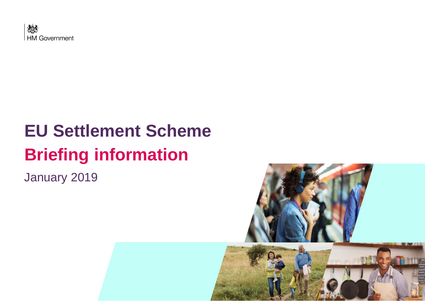

# **EU Settlement Scheme Briefing information**

January 2019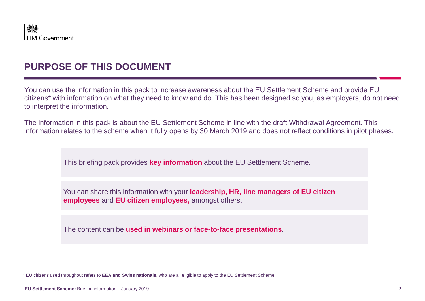

### **PURPOSE OF THIS DOCUMENT**

You can use the information in this pack to increase awareness about the EU Settlement Scheme and provide EU citizens\* with information on what they need to know and do. This has been designed so you, as employers, do not need to interpret the information.

The information in this pack is about the EU Settlement Scheme in line with the draft Withdrawal Agreement. This information relates to the scheme when it fully opens by 30 March 2019 and does not reflect conditions in pilot phases.

This briefing pack provides **key information** about the EU Settlement Scheme.

You can share this information with your **leadership, HR, line managers of EU citizen employees** and **EU citizen employees,** amongst others.

The content can be **used in webinars or face-to-face presentations**.

<sup>\*</sup> EU citizens used throughout refers to **EEA and Swiss nationals**, who are all eligible to apply to the EU Settlement Scheme.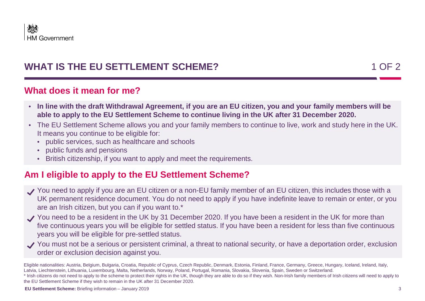

## **WHAT IS THE EU SETTLEMENT SCHEME?** 1 OF 2

### **What does it mean for me?**

- **In line with the draft Withdrawal Agreement, if you are an EU citizen, you and your family members will be able to apply to the EU Settlement Scheme to continue living in the UK after 31 December 2020.**
- The EU Settlement Scheme allows you and your family members to continue to live, work and study here in the UK. It means you continue to be eligible for:
	- public services, such as healthcare and schools
	- public funds and pensions
	- British citizenship, if you want to apply and meet the requirements.

### **Am I eligible to apply to the EU Settlement Scheme?**

- You need to apply if you are an EU citizen or a non-EU family member of an EU citizen, this includes those with a UK permanent residence document. You do not need to apply if you have indefinite leave to remain or enter, or you are an Irish citizen, but you can if you want to.\*
- You need to be a resident in the UK by 31 December 2020. If you have been a resident in the UK for more than five continuous years you will be eligible for settled status. If you have been a resident for less than five continuous years you will be eligible for pre-settled status.
- You must not be a serious or persistent criminal, a threat to national security, or have a deportation order, exclusion order or exclusion decision against you.

Eligible nationalities: Austria, Belgium, Bulgaria, Croatia, Republic of Cyprus, Czech Republic, Denmark, Estonia, Finland, France, Germany, Greece, Hungary, Iceland, Ireland, Italy, Latvia, Liechtenstein, Lithuania, Luxembourg, Malta, Netherlands, Norway, Poland, Portugal, Romania, Slovakia, Slovenia, Spain, Sweden or Switzerland.

<sup>\*</sup> Irish citizens do not need to apply to the scheme to protect their rights in the UK, though they are able to do so if they wish. Non-Irish family members of Irish citizens will need to apply to the EU Settlement Scheme if they wish to remain in the UK after 31 December 2020.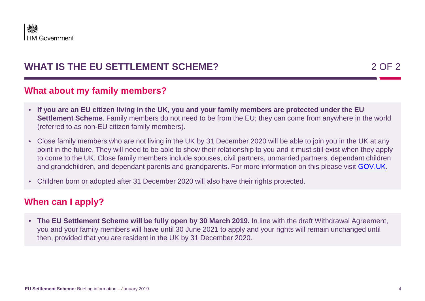

# **WHAT IS THE EU SETTLEMENT SCHEME?** 2 OF 2

### **What about my family members?**

- **If you are an EU citizen living in the UK, you and your family members are protected under the EU Settlement Scheme**. Family members do not need to be from the EU; they can come from anywhere in the world (referred to as non-EU citizen family members).
- Close family members who are not living in the UK by 31 December 2020 will be able to join you in the UK at any point in the future. They will need to be able to show their relationship to you and it must still exist when they apply to come to the UK. Close family members include spouses, civil partners, unmarried partners, dependant children and grandchildren, and dependant parents and grandparents. For more information on this please visit [GOV.UK](https://www.gov.uk/settled-status-eu-citizens-families/eligibility).
- Children born or adopted after 31 December 2020 will also have their rights protected.

### **When can I apply?**

• **The EU Settlement Scheme will be fully open by 30 March 2019.** In line with the draft Withdrawal Agreement, you and your family members will have until 30 June 2021 to apply and your rights will remain unchanged until then, provided that you are resident in the UK by 31 December 2020.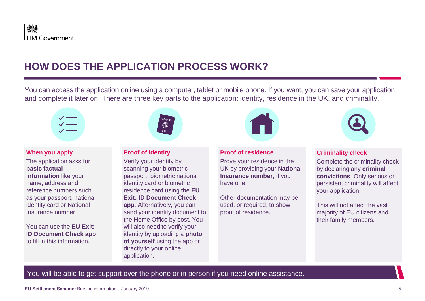

# **HOW DOES THE APPLICATION PROCESS WORK?**

You can access the application online using a computer, tablet or mobile phone. If you want, you can save your application and complete it later on. There are three key parts to the application: identity, residence in the UK, and criminality.



**When you apply** The application asks for **basic factual information** like your name, address and reference numbers such as your passport, national identity card or National Insurance number.

You can use the **EU Exit: ID Document Check app**  to fill in this information.



#### **Proof of identity**

Verify your identity by scanning your biometric passport, biometric national identity card or biometric residence card using the **EU Exit: ID Document Check app**. Alternatively, you can send your identity document to the Home Office by post. You will also need to verify your identity by uploading a **photo of yourself** using the app or directly to your online application.



#### **Proof of residence**

Prove your residence in the UK by providing your **National Insurance number**, if you have one.

Other documentation may be used, or required, to show proof of residence.



#### **Criminality check**

Complete the criminality check by declaring any **criminal convictions**. Only serious or persistent criminality will affect your application.

This will not affect the vast majority of EU citizens and their family members.

You will be able to get support over the phone or in person if you need online assistance.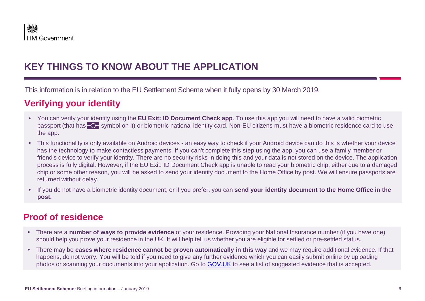# **KEY THINGS TO KNOW ABOUT THE APPLICATION**

This information is in relation to the EU Settlement Scheme when it fully opens by 30 March 2019.

# **Verifying your identity**

- You can verify your identity using the **EU Exit: ID Document Check app**. To use this app you will need to have a valid biometric passport (that has  $\overline{O}$  symbol on it) or biometric national identity card. Non-EU citizens must have a biometric residence card to use the app.
- This functionality is only available on Android devices an easy way to check if your Android device can do this is whether your device has the technology to make contactless payments. If you can't complete this step using the app, you can use a family member or friend's device to verify your identity. There are no security risks in doing this and your data is not stored on the device. The application process is fully digital. However, if the EU Exit: ID Document Check app is unable to read your biometric chip, either due to a damaged chip or some other reason, you will be asked to send your identity document to the Home Office by post. We will ensure passports are returned without delay.
- If you do not have a biometric identity document, or if you prefer, you can **send your identity document to the Home Office in the post.**

### **Proof of residence**

- There are a **number of ways to provide evidence** of your residence. Providing your National Insurance number (if you have one) should help you prove your residence in the UK. It will help tell us whether you are eligible for settled or pre-settled status.
- There may be **cases where residence cannot be proven automatically in this way** and we may require additional evidence. If that happens, do not worry. You will be told if you need to give any further evidence which you can easily submit online by uploading photos or scanning your documents into your application. Go to [GOV.UK](http://www.gov.uk/guidance/eu-settlement-scheme-evidence-of-uk-residence) to see a list of suggested evidence that is accepted.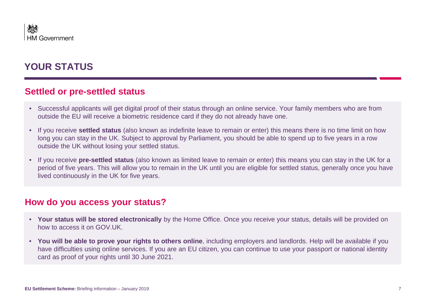# **YOUR STATUS**

### **Settled or pre-settled status**

- Successful applicants will get digital proof of their status through an online service. Your family members who are from outside the EU will receive a biometric residence card if they do not already have one.
- If you receive **settled status** (also known as indefinite leave to remain or enter) this means there is no time limit on how long you can stay in the UK. Subject to approval by Parliament, you should be able to spend up to five years in a row outside the UK without losing your settled status.
- If you receive **pre-settled status** (also known as limited leave to remain or enter) this means you can stay in the UK for a period of five years. This will allow you to remain in the UK until you are eligible for settled status, generally once you have lived continuously in the UK for five years.

### **How do you access your status?**

- **Your status will be stored electronically** by the Home Office. Once you receive your status, details will be provided on how to access it on GOV.UK.
- **You will be able to prove your rights to others online**, including employers and landlords. Help will be available if you have difficulties using online services. If you are an EU citizen, you can continue to use your passport or national identity card as proof of your rights until 30 June 2021.